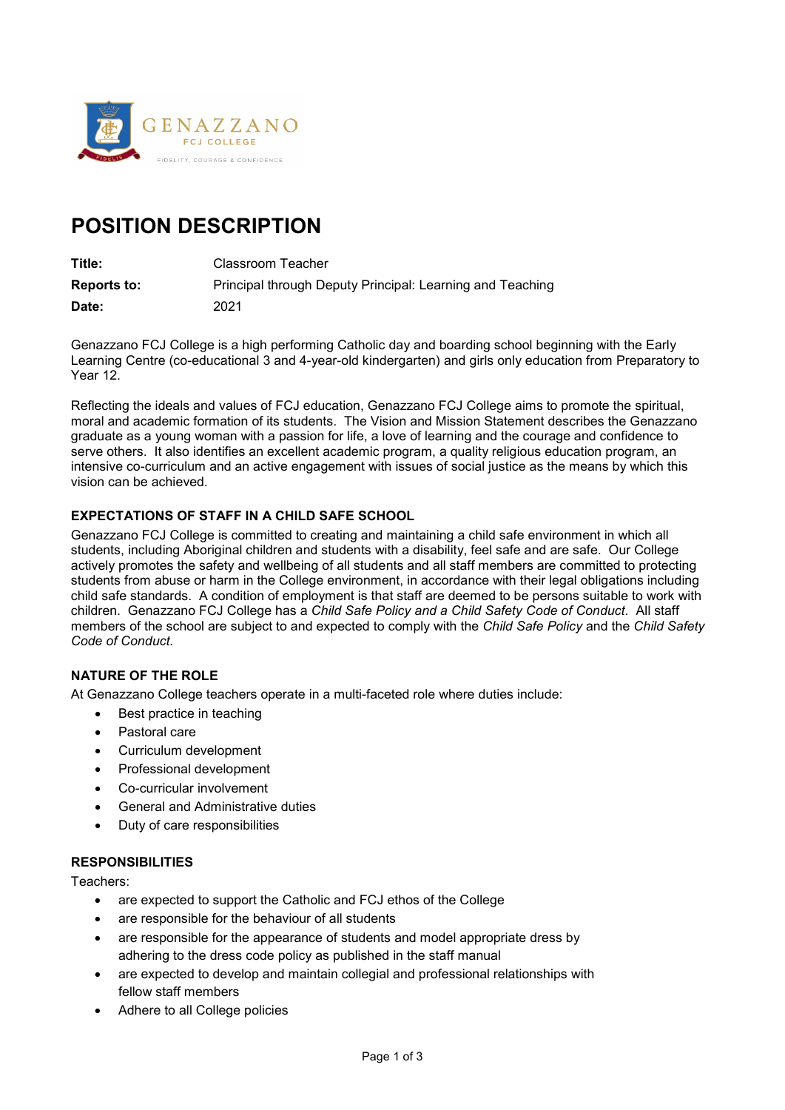

# **POSITION DESCRIPTION**

**Title:** Classroom Teacher

**Reports to:** Principal through Deputy Principal: Learning and Teaching **Date:** 2021

Genazzano FCJ College is a high performing Catholic day and boarding school beginning with the Early Learning Centre (co-educational 3 and 4-year-old kindergarten) and girls only education from Preparatory to Year 12.

Reflecting the ideals and values of FCJ education, Genazzano FCJ College aims to promote the spiritual, moral and academic formation of its students. The Vision and Mission Statement describes the Genazzano graduate as a young woman with a passion for life, a love of learning and the courage and confidence to serve others. It also identifies an excellent academic program, a quality religious education program, an intensive co-curriculum and an active engagement with issues of social justice as the means by which this vision can be achieved.

# **EXPECTATIONS OF STAFF IN A CHILD SAFE SCHOOL**

Genazzano FCJ College is committed to creating and maintaining a child safe environment in which all students, including Aboriginal children and students with a disability, feel safe and are safe. Our College actively promotes the safety and wellbeing of all students and all staff members are committed to protecting students from abuse or harm in the College environment, in accordance with their legal obligations including child safe standards. A condition of employment is that staff are deemed to be persons suitable to work with children. Genazzano FCJ College has a *Child Safe Policy and a Child Safety Code of Conduct*. All staff members of the school are subject to and expected to comply with the *Child Safe Policy* and the *Child Safety Code of Conduct.*

## **NATURE OF THE ROLE**

At Genazzano College teachers operate in a multi-faceted role where duties include:

- Best practice in teaching
- Pastoral care
- Curriculum development
- Professional development
- Co-curricular involvement
- General and Administrative duties
- Duty of care responsibilities

#### **RESPONSIBILITIES**

Teachers:

- are expected to support the Catholic and FCJ ethos of the College
- are responsible for the behaviour of all students
- are responsible for the appearance of students and model appropriate dress by adhering to the dress code policy as published in the staff manual
- are expected to develop and maintain collegial and professional relationships with fellow staff members
- Adhere to all College policies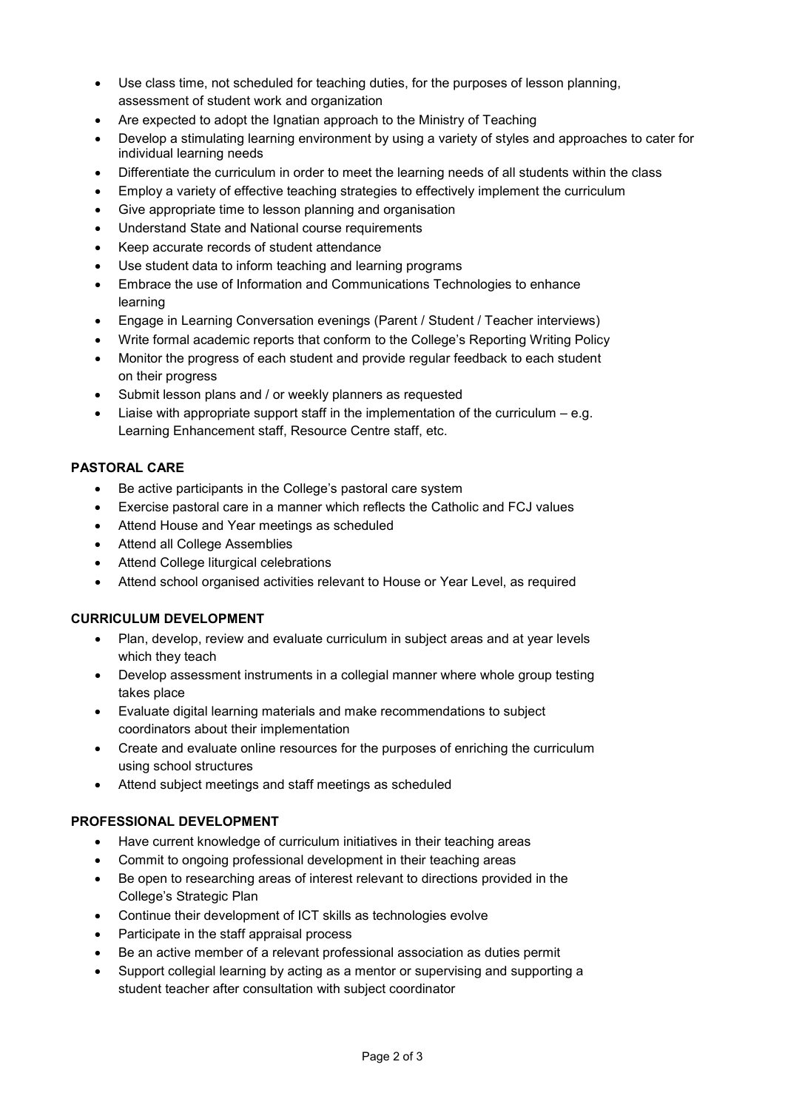- Use class time, not scheduled for teaching duties, for the purposes of lesson planning, assessment of student work and organization
- Are expected to adopt the Ignatian approach to the Ministry of Teaching
- Develop a stimulating learning environment by using a variety of styles and approaches to cater for individual learning needs
- Differentiate the curriculum in order to meet the learning needs of all students within the class
- Employ a variety of effective teaching strategies to effectively implement the curriculum
- Give appropriate time to lesson planning and organisation
- Understand State and National course requirements
- Keep accurate records of student attendance
- Use student data to inform teaching and learning programs
- Embrace the use of Information and Communications Technologies to enhance learning
- Engage in Learning Conversation evenings (Parent / Student / Teacher interviews)
- Write formal academic reports that conform to the College's Reporting Writing Policy
- Monitor the progress of each student and provide regular feedback to each student on their progress
- Submit lesson plans and / or weekly planners as requested
- Liaise with appropriate support staff in the implementation of the curriculum  $-e.q$ . Learning Enhancement staff, Resource Centre staff, etc.

## **PASTORAL CARE**

- Be active participants in the College's pastoral care system
- Exercise pastoral care in a manner which reflects the Catholic and FCJ values
- Attend House and Year meetings as scheduled
- Attend all College Assemblies
- Attend College liturgical celebrations
- Attend school organised activities relevant to House or Year Level, as required

#### **CURRICULUM DEVELOPMENT**

- Plan, develop, review and evaluate curriculum in subject areas and at year levels which they teach
- Develop assessment instruments in a collegial manner where whole group testing takes place
- Evaluate digital learning materials and make recommendations to subject coordinators about their implementation
- Create and evaluate online resources for the purposes of enriching the curriculum using school structures
- Attend subject meetings and staff meetings as scheduled

# **PROFESSIONAL DEVELOPMENT**

- Have current knowledge of curriculum initiatives in their teaching areas
- Commit to ongoing professional development in their teaching areas
- Be open to researching areas of interest relevant to directions provided in the College's Strategic Plan
- Continue their development of ICT skills as technologies evolve
- Participate in the staff appraisal process
- Be an active member of a relevant professional association as duties permit
- Support collegial learning by acting as a mentor or supervising and supporting a student teacher after consultation with subject coordinator